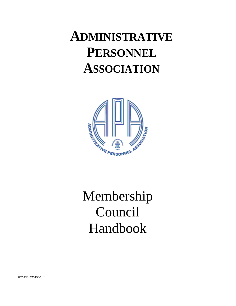# **ADMINISTRATIVE PERSONNEL ASSOCIATION**



# Membership Council Handbook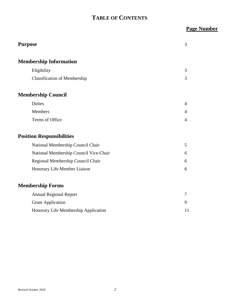## **TABLE OF CONTENTS**

## **Page Number**

| <b>Purpose</b>                         | 3              |
|----------------------------------------|----------------|
| <b>Membership Information</b>          |                |
| Eligibility                            | 3              |
| <b>Classification of Membership</b>    | 3              |
| <b>Membership Council</b>              |                |
| Duties                                 | 4              |
| Members                                | $\overline{4}$ |
| Terms of Office                        | $\overline{4}$ |
| <b>Position Responsibilities</b>       |                |
| National Membership Council Chair      | 5              |
| National Membership Council Vice-Chair | 6              |
| Regional Membership Council Chair      | 6              |
| Honorary Life Member Liaison           | 6              |
| <b>Membership Forms</b>                |                |
| <b>Annual Regional Report</b>          | 7              |
| <b>Grant Application</b>               | 9              |
| Honorary Life Membership Application   | 11             |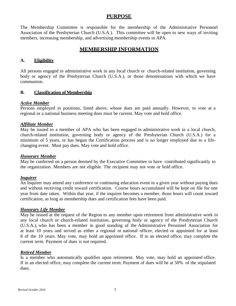## **PURPOSE**

The Membership Committee is responsible for the membership of the Administrative Personnel Association of the Presbyterian Church (U.S.A.). This committee will be open to new ways of inviting members, increasing membership, and advertising membership events in APA.

## **MEMBERSHIP INFORMATION**

#### **A. Eligibility**

All persons engaged in administrative work in any local church or church-related institution, governing body or agency of the Presbyterian Church (U.S.A.), or those denominations with which we have communion.

#### **B. Classification of Membership**

#### *Active Member*

Persons employed in positions, listed above, whose dues are paid annually. However, to vote at a regional or a national business meeting dues must be current. May vote and hold office.

#### *Affiliate Member*

May be issued to a member of APA who has been engaged in administrative work in a local church, church-related institution, governing body or agency of the Presbyterian Church (U.S.A.) for a minimum of 5 years, or has begun the Certification process and is no longer employed due to a lifechanging event. Must pay dues. May vote and hold office.

#### *Honorary Member*

May be conferred on a person deemed by the Executive Committee to have contributed significantly to the organization. Members are not eligible. The recipient may not vote or hold office.

#### *Inquirer*

An Inquirer may attend any conference or continuing education event in a given year without paying dues and without receiving credit toward certification. Course hours accumulated will be kept on file for one year from date taken. Within that year, if the inquirer becomes a member, those hours will count toward certification, as long as membership dues and certification fees have been paid.

#### *Honorary Life Member*

May be issued at the request of the Region to any member upon retirement from administrative work in any local church or church-related institution, governing body or agency of the Presbyterian Church (U.S.A.), who has been a member in good standing of the Administrative Personnel Association for at least 10 years and served as either a regional or national officer, elected or appointed for at least 8 of the 10 years. May vote, may hold an appointed office. If in an elected office, may complete the current term. Payment of dues is not required.

#### *Retired Member*

Is a member who automatically qualifies upon retirement. May vote, may hold an appointed office. If in an elected office, may complete the current term. Payment of dues will be at 50% of the stipulated dues.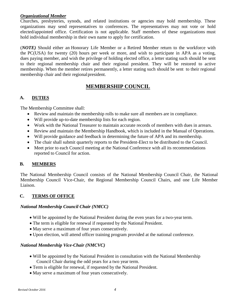#### *Organizational Member*

Churches, presbyteries, synods, and related institutions or agencies may hold membership. These organizations may send representatives to conferences. The representatives may not vote or hold elected/appointed office. Certification is not applicable. Staff members of these organizations must hold individual membership in their own name to apply for certification.

(*NOTE)* Should either an Honorary Life Member or a Retired Member return to the workforce with the PC(USA) for twenty (20) hours per week or more, and wish to participate in APA as a voting, dues paying member, and wish the privilege of holding elected office, a letter stating such should be sent to their regional membership chair and their regional president. They will be restored to active membership. When the member retires permanently, a letter stating such should be sent to their regional membership chair and their regional president.

## **MEMBERSHIP COUNCIL**

#### **A. DUTIES**

The Membership Committee shall:

- Review and maintain the membership rolls to make sure all members are in compliance.
- Will provide up-to-date membership lists for each region.
- Work with the National Treasurer to maintain accurate records of members with dues in arrears.
- Review and maintain the Membership Handbook, which is included in the Manual of Operations.
- Will provide guidance and feedback in determining the future of APA and its membership.
- The chair shall submit quarterly reports to the President-Elect to be distributed to the Council.
- Meet prior to each Council meeting at the National Conference with all its recommendations reported to Council for action.

#### **B. MEMBERS**

The National Membership Council consists of the National Membership Council Chair, the National Membership Council Vice-Chair, the Regional Membership Council Chairs, and one Life Member Liaison.

#### **C. TERMS OF OFFICE**

#### *National Membership Council Chair (NMCC)*

- Will be appointed by the National President during the even years for a two-year term.
- The term is eligible for renewal if requested by the National President.
- May serve a maximum of four years consecutively.
- Upon election, will attend officer training program provided at the national conference.

#### *National Membership Vice-Chair (NMCVC)*

- Will be appointed by the National President in consultation with the National Membership Council Chair during the odd years for a two year term.
- Term is eligible for renewal, if requested by the National President.
- May serve a maximum of four years consecutively.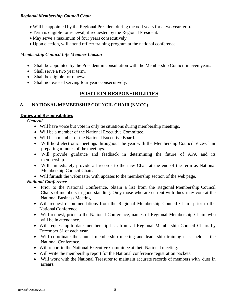#### *Regional Membership Council Chair*

- Will be appointed by the Regional President during the odd years for a two year term.
- Term is eligible for renewal, if requested by the Regional President.
- May serve a maximum of four years consecutively.
- Upon election, will attend officer training program at the national conference.

#### *Membership Council Life Member Liaison*

- Shall be appointed by the President in consultation with the Membership Council in even years.
- Shall serve a two year term.
- Shall be eligible for renewal.
- Shall not exceed serving four years consecutively.

## **POSITION RESPONSIBILITIES**

#### **A. NATIONAL MEMBERSHIP COUNCIL CHAIR (NMCC)**

#### **Duties and Responsibilities**

*General*

- Will have voice but vote in only tie situations during membership meetings.
- Will be a member of the National Executive Committee.
- Will be a member of the National Executive Board.
- Will hold electronic meetings throughout the year with the Membership Council Vice-Chair preparing minutes of the meetings.
- Will provide guidance and feedback in determining the future of APA and its membership.
- Will immediately provide all records to the new Chair at the end of the term as National Membership Council Chair.
- Will furnish the webmaster with updates to the membership section of the web page.

#### *National Conference*

- Prior to the National Conference, obtain a list from the Regional Membership Council Chairs of members in good standing. Only those who are current with dues may vote at the National Business Meeting.
- Will request recommendations from the Regional Membership Council Chairs prior to the National Conference.
- Will request, prior to the National Conference, names of Regional Membership Chairs who will be in attendance.
- Will request up-to-date membership lists from all Regional Membership Council Chairs by December 31 of each year.
- Will coordinate the annual membership meeting and leadership training class held at the National Conference.
- Will report to the National Executive Committee at their National meeting.
- Will write the membership report for the National conference registration packets.
- Will work with the National Treasurer to maintain accurate records of members with dues in arrears.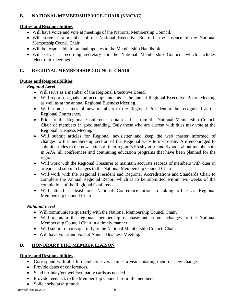## **B. NATIONAL MEMBERSHIP VICE-CHAIR (NMCVC)**

#### **Duties and Responsibilities**

- Will have voice and vote at meetings of the National Membership Council.
- Will serve as a member of the National Executive Board in the absence of the National Membership Council Chair.
- Will be responsible for annual updates to the Membership Handbook.
- Will serve as recording secretary for the National Membership Council, which includes electronic meetings.

#### **C. REGIONAL MEMBERSHIP COUNCIL CHAIR**

#### **Duties and Responsibilities**

#### *Regional Level*

- Will serve as a member of the Regional Executive Board.
- Will report on goals and accomplishments at the annual Regional Executive Board Meeting as well as at the annual Regional Business Meeting.
- Will submit names of new members to the Regional President to be recognized at the Regional Conference.
- Prior to the Regional Conference, obtain a list from the National Membership Council Chair of members in good standing. Only those who are current with dues may vote at the Regional Business Meeting.
- Will submit articles for Regional newsletter and keep the web master informed of changes to the membership section of the Regional website up-to-date. Are encouraged to submit articles to the newsletters of their region's Presbyteries and Synods about membership in APA, all conferences and continuing education programs that have been planned for the region.
- Will work with the Regional Treasurer to maintain accurate records of members with dues in arrears and submit changes to the National Membership Council Chair.
- Will work with the Regional President and Regional Accreditations and Standards Chair to complete the Annual Regional Report which is to be submitted within two weeks of the completion of the Regional Conference.
- Will attend at least one National Conference prior to taking office as Regional Membership Council Chair.

## *National Level*

- Will communicate quarterly with the National Membership Council Chair.
- Will maintain the regional membership database and submit changes to the National Membership Council Chair in a timely manner.
- Will submit reports quarterly to the National Membership Council Chair.
- Will have voice and vote at Annual Business Meeting.

## **D. HONORARY LIFE MEMBER LIAISON**

## **Duties and Responsibilities**

- Correspond with all life members several times a year updating them on new changes.
- Provide dates of conferences.
- Send birthday/get well/sympathy cards as needed.
- Provide feedback to the Membership Council from life members.
- Solicit scholarship funds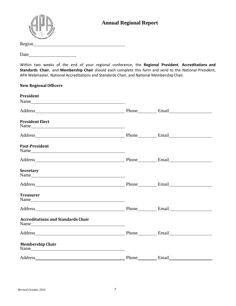

## **Annual Regional Report**

| Region |  |  |  |
|--------|--|--|--|
|        |  |  |  |

Date

Within two weeks of the end of your regional conference, the **Regional President**, **Accreditations and Standards Chair**, and **Membership Chair** should each complete this form and send to the National President, APA Webmaster, National Accreditations and Standards Chair, and National Membership Chair.

| <b>New Regional Officers</b>                                                                                                                                                                                                                              |       |       |  |
|-----------------------------------------------------------------------------------------------------------------------------------------------------------------------------------------------------------------------------------------------------------|-------|-------|--|
| President<br>Name                                                                                                                                                                                                                                         |       |       |  |
| Address <b>Email</b> Phone <b>Email Email</b>                                                                                                                                                                                                             |       |       |  |
| <b>President Elect</b><br>Name                                                                                                                                                                                                                            |       |       |  |
| Address Email Email Email Email                                                                                                                                                                                                                           |       |       |  |
| <b>Past-President</b>                                                                                                                                                                                                                                     |       |       |  |
| Address Phone Email                                                                                                                                                                                                                                       |       |       |  |
| Secretary<br>Name                                                                                                                                                                                                                                         |       |       |  |
| Address <b>Email</b> Phone <b>Email Email Email</b>                                                                                                                                                                                                       |       |       |  |
| <b>Treasurer</b><br>Name                                                                                                                                                                                                                                  |       |       |  |
| Address Phone Email Email                                                                                                                                                                                                                                 |       |       |  |
| <b>Accreditations and Standards Chair</b>                                                                                                                                                                                                                 |       |       |  |
| Address Phone Email Email                                                                                                                                                                                                                                 |       |       |  |
| <b>Membership Chair</b><br>Name has a series of the series of the series of the series of the series of the series of the series of the series of the series of the series of the series of the series of the series of the series of the series of the s |       |       |  |
| Address                                                                                                                                                                                                                                                   | Phone | Email |  |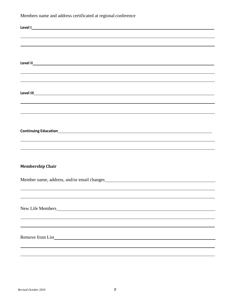Members name and address certificated at regional conference

| ,我们也不会有什么。""我们的人,我们也不会有什么?""我们的人,我们也不会有什么?""我们的人,我们也不会有什么?""我们的人,我们也不会有什么?""我们的人 |
|----------------------------------------------------------------------------------|
|                                                                                  |
|                                                                                  |
| <b>Membership Chair</b>                                                          |
|                                                                                  |
|                                                                                  |
|                                                                                  |
|                                                                                  |
| New Life Members                                                                 |
|                                                                                  |
|                                                                                  |
|                                                                                  |
| Remove from List                                                                 |
|                                                                                  |
|                                                                                  |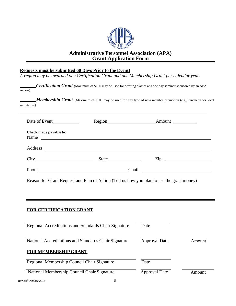

## **Administrative Personnel Association (APA) Grant Application Form**

#### **Requests must be submitted 60 Days Prior to the Event)**

*A region may be awarded one Certification Grant and one Membership Grant per calendar year.*

*Certification Grant {*Maximum of \$100 may be used for offering classes at a one day seminar sponsored by an APA region}

*Membership Grant* {Maximum of \$100 may be used for any type of new member promotion (e.g., luncheon for local secretaries}

| Date of Event                                                                                                                  |       | Amount         |
|--------------------------------------------------------------------------------------------------------------------------------|-------|----------------|
| Check made payable to:<br>Name                                                                                                 |       |                |
| Address<br><u> 1989 - Andrea Albert III, politik eta politik eta politik eta politik eta politik eta politik eta politik e</u> |       |                |
|                                                                                                                                |       | $\mathsf{Zip}$ |
| Phone                                                                                                                          | Email |                |

Reason for Grant Request and Plan of Action (Tell us how you plan to use the grant money)

#### **FOR CERTIFICATION GRANT**

| Regional Accreditations and Standards Chair Signature | Date                 |        |
|-------------------------------------------------------|----------------------|--------|
| National Accreditations and Standards Chair Signature | <b>Approval Date</b> | Amount |
| <b>FOR MEMBERSHIP GRANT</b>                           |                      |        |
| Regional Membership Council Chair Signature           | Date                 |        |
| National Membership Council Chair Signature           | <b>Approval Date</b> | Amount |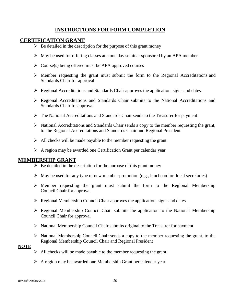## **INSTRUCTIONS FOR FORM COMPLETION**

#### **CERTIFICATION GRANT**

- $\triangleright$  Be detailed in the description for the purpose of this grant money
- $\triangleright$  May be used for offering classes at a one day seminar sponsored by an APA member
- $\triangleright$  Course(s) being offered must be APA approved courses
- $\triangleright$  Member requesting the grant must submit the form to the Regional Accreditations and Standards Chair for approval
- $\triangleright$  Regional Accreditations and Standards Chair approves the application, signs and dates
- Regional Accreditations and Standards Chair submits to the National Accreditations and Standards Chair for approval
- $\triangleright$  The National Accreditations and Standards Chair sends to the Treasurer for payment
- $\triangleright$  National Accreditations and Standards Chair sends a copy to the member requesting the grant, to the Regional Accreditations and Standards Chair and Regional President
- $\triangleright$  All checks will be made payable to the member requesting the grant
- $\triangleright$  A region may be awarded one Certification Grant per calendar year

## **MEMBERSHIP GRANT**

- $\triangleright$  Be detailed in the description for the purpose of this grant money
- $\triangleright$  May be used for any type of new member promotion (e.g., luncheon for local secretaries)
- $\triangleright$  Member requesting the grant must submit the form to the Regional Membership Council Chair for approval
- $\triangleright$  Regional Membership Council Chair approves the application, signs and dates
- $\triangleright$  Regional Membership Council Chair submits the application to the National Membership Council Chair for approval
- $\triangleright$  National Membership Council Chair submits original to the Treasurer for payment
- $\triangleright$  National Membership Council Chair sends a copy to the member requesting the grant, to the Regional Membership Council Chair and Regional President

#### **NOTE**

- $\triangleright$  All checks will be made payable to the member requesting the grant
- $\triangleright$  A region may be awarded one Membership Grant per calendar year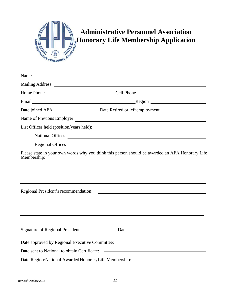

# **Administrative Personnel Association Honorary Life Membership Application**

| <u> 1999 - Johann Harry Harry Harry Harry Harry Harry Harry Harry Harry Harry Harry Harry Harry Harry Harry Harry H</u>     |
|-----------------------------------------------------------------------------------------------------------------------------|
|                                                                                                                             |
| Home Phone Cell Phone Cell Phone                                                                                            |
|                                                                                                                             |
|                                                                                                                             |
|                                                                                                                             |
|                                                                                                                             |
| National Offices                                                                                                            |
| Regional Offices                                                                                                            |
| Please state in your own words why you think this person should be awarded an APA Honorary Life                             |
| <u> 1989 - Johann Stein, mars an deutscher Stein († 1989)</u>                                                               |
| Date                                                                                                                        |
| Date approved by Regional Executive Committee: The Committee of the Assembly Pate approved by Regional Executive Committee: |
| <u> 1989 - Johann Harry Harry Harry Harry Harry Harry Harry Harry Harry Harry Harry Harry Harry Harry Harry Harry</u>       |
| Date Region/National Awarded Honorary Life Membership: <a></a>                                                              |
|                                                                                                                             |